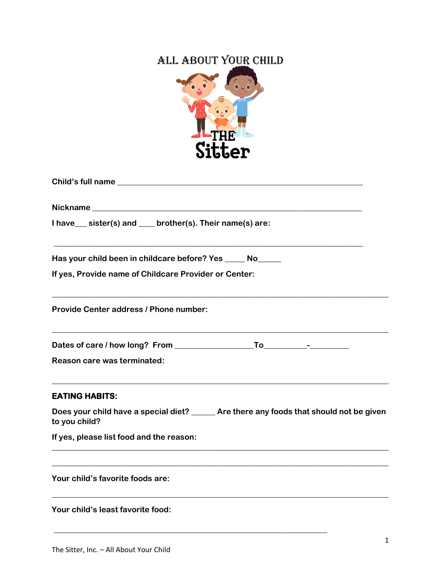## ALL ABOUT YOUR CHILD



| 9100GL.                                                                                                   |
|-----------------------------------------------------------------------------------------------------------|
|                                                                                                           |
|                                                                                                           |
| I have __ sister(s) and __ brother(s). Their name(s) are:                                                 |
| Has your child been in childcare before? Yes _____ No_____                                                |
| If yes, Provide name of Childcare Provider or Center:                                                     |
| Provide Center address / Phone number:                                                                    |
|                                                                                                           |
| Reason care was terminated:                                                                               |
| <b>EATING HABITS:</b>                                                                                     |
| Does your child have a special diet? ______ Are there any foods that should not be given<br>to you child? |
| If yes, please list food and the reason:                                                                  |
| Your child's favorite foods are:                                                                          |
| Your child's least favorite food:                                                                         |

**\_\_\_\_\_\_\_\_\_\_\_\_\_\_\_\_\_\_\_\_\_\_\_\_\_\_\_\_\_\_\_\_\_\_\_\_\_\_\_\_\_\_\_\_\_\_\_\_\_\_\_\_\_\_\_\_\_\_\_\_\_\_\_\_\_\_\_\_\_**